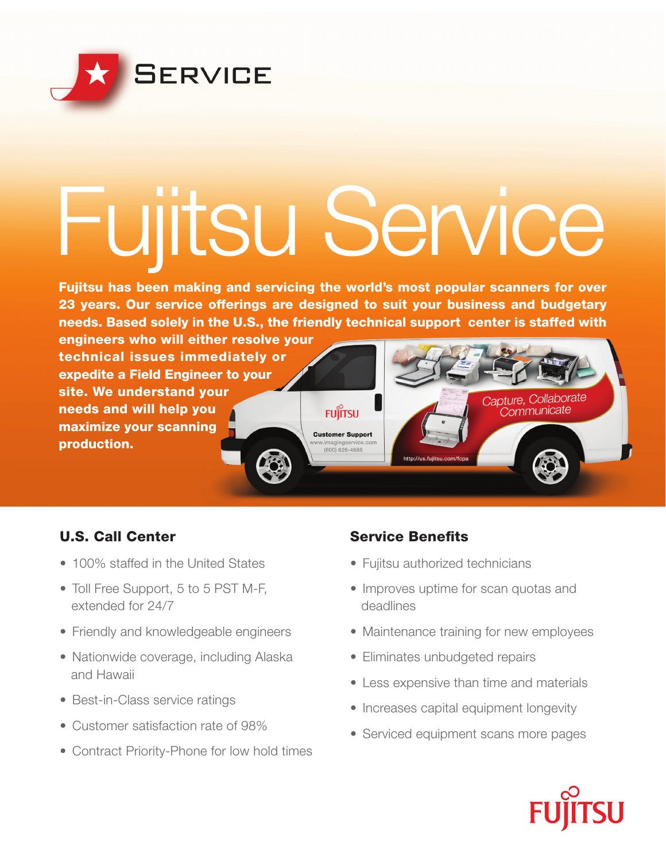

# Fujitsu Service

Fujitsu has been making and servicing the world's most popular scanners for over 23 years. Our service offerings are designed to suit your business and budgetary needs. Based solely in the U.S., the friendly technical support center is staffed with

engineers who will either resolve your technical issues immediately or expedite a Field Engineer to your site. We understand your needs and will help you maximize your scanning production.

# **FUJITSU**

**Customer Support** 800) 626-4686

# U.S. Call Center

- 100% staffed in the United States
- Toll Free Support, 5 to 5 PST M-F, extended for 24/7
- Friendly and knowledgeable engineers
- Nationwide coverage, including Alaska and Hawaii
- Best-in-Class service ratings
- Customer satisfaction rate of 98%
- Contract Priority-Phone for low hold times

# **Service Benefits**

- Fujitsu authorized technicians
- Improves uptime for scan quotas and deadlines
- Maintenance training for new employees

Capture, Collaborate *Communicate* 

- Eliminates unbudgeted repairs
- Less expensive than time and materials
- Increases capital equipment longevity
- Serviced equipment scans more pages